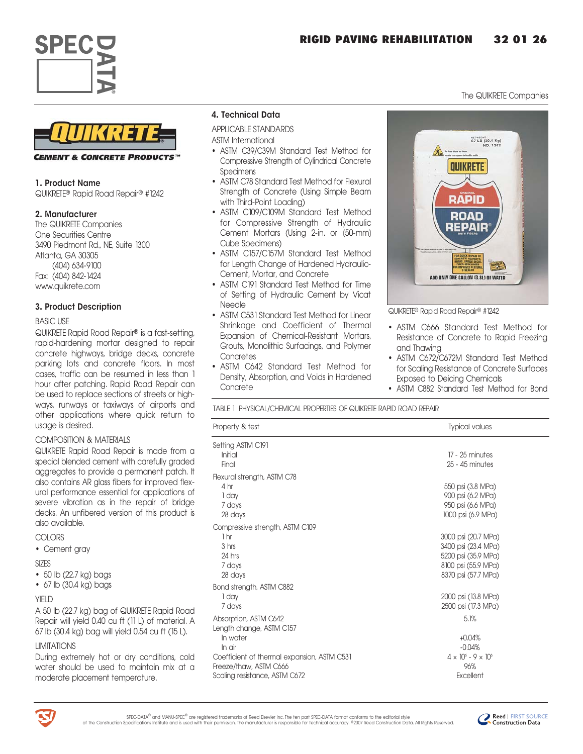



**CEMENT & CONCRETE PRODUCTS"** 

## 1. Product Name

QUIKRETEª Rapid Road Repairª #1242

# 2. Manufacturer

The QUIKRETE Companies One Securities Centre 3490 Piedmont Rd., NE, Suite 1300 Atlanta, GA 30305 (404) 634-9100 Fax: (404) 842-1424 www.quikrete.com

# 3. Product Description

## BASIC USE

QUIKRETE Rapid Road Repair® is a fast-setting, rapid-hardening mortar designed to repair concrete highways, bridge decks, concrete parking lots and concrete floors. In most cases, traffic can be resumed in less than 1 hour after patching. Rapid Road Repair can be used to replace sections of streets or highways, runways or taxiways of airports and other applications where quick return to usage is desired.

# COMPOSITION & MATERIALS

QUIKRETE Rapid Road Repair is made from a special blended cement with carefully graded aggregates to provide a permanent patch. It also contains AR glass fibers for improved flexural performance essential for applications of severe vibration as in the repair of bridge decks. An unfibered version of this product is also available.

## COLORS

• Cement gray

## SIZES

- 50 lb (22.7 kg) bags
- 67 lb (30.4 kg) bags

# YIFI<sub>D</sub>

A 50 lb (22.7 kg) bag of QUIKRETE Rapid Road Repair will yield 0.40 cu ft (11 L) of material. A 67 lb (30.4 kg) bag will yield 0.54 cu ft (15 L).

# LIMITATIONS

During extremely hot or dry conditions, cold water should be used to maintain mix at a moderate placement temperature.

## 4. Technical Data

APPLICABLE STANDARDS

ASTM International

- ASTM C39/C39M Standard Test Method for Compressive Strength of Cylindrical Concrete Specimens
- ASTM C78 Standard Test Method for Flexural Strength of Concrete (Using Simple Beam with Third-Point Loading)
- ASTM C109/C109M Standard Test Method for Compressive Strength of Hydraulic Cement Mortars (Using 2-in. or [50-mm] Cube Specimens)
- ASTM C157/C157M Standard Test Method for Length Change of Hardened Hydraulic-Cement, Mortar, and Concrete
- ASTM C191 Standard Test Method for Time of Setting of Hydraulic Cement by Vicat Needle
- ASTM C531 Standard Test Method for Linear Shrinkage and Coefficient of Thermal Expansion of Chemical-Resistant Mortars, Grouts, Monolithic Surfacings, and Polymer **Concretes**
- ASTM C642 Standard Test Method for Density, Absorption, and Voids in Hardened **Concrete**



The QUIKRETE Companies

QUIKRETEª Rapid Road Repairª #1242

- ASTM C666 Standard Test Method for Resistance of Concrete to Rapid Freezing and Thawing
- ASTM C672/C672M Standard Test Method for Scaling Resistance of Concrete Surfaces Exposed to Deicing Chemicals
- ASTM C882 Standard Test Method for Bond

TABLE 1 PHYSICAL/CHEMICAL PROPERTIES OF QUIKRETE RAPID ROAD REPAIR

| Property & test                             | <b>Typical values</b>               |
|---------------------------------------------|-------------------------------------|
| Setting ASTM C191                           |                                     |
| Initial                                     | 17 - 25 minutes                     |
| Final                                       | 25 - 45 minutes                     |
| Flexural strength, ASTM C78                 |                                     |
| 4 hr                                        | 550 psi (3.8 MPa)                   |
| 1 day                                       | 900 psi (6.2 MPa)                   |
| 7 days                                      | 950 psi (6.6 MPa)                   |
| 28 days                                     | 1000 psi (6.9 MPa)                  |
| Compressive strength, ASTM C109             |                                     |
| 1 <sub>hr</sub>                             | 3000 psi (20.7 MPa)                 |
| 3 hrs                                       | 3400 psi (23.4 MPa)                 |
| 24 hrs                                      | 5200 psi (35.9 MPa)                 |
| 7 days                                      | 8100 psi (55.9 MPa)                 |
| 28 days                                     | 8370 psi (57.7 MPa)                 |
| Bond strength, ASTM C882                    |                                     |
| 1 day                                       | 2000 psi (13.8 MPa)                 |
| 7 days                                      | 2500 psi (17.3 MPa)                 |
| Absorption, ASTM C642                       | 5.1%                                |
| Length change, ASTM C157                    |                                     |
| In water                                    | $+0.04%$                            |
| In air                                      | $-0.04%$                            |
| Coefficient of thermal expansion, ASTM C531 | $4 \times 10^{6} - 9 \times 10^{6}$ |
| Freeze/thaw, ASTM C666                      | 96%                                 |
| Scaling resistance, ASTM C672               | Excellent                           |
|                                             |                                     |



SPEC-DATA<sup>®</sup> and MANU-SPEC<sup>®</sup> are registered trademarks of Reed Elsevier Inc. The ten part SPEC-DATA format conforms to the editorial style of The Construction Specifications Institute and is used with their permission. The manufacturer is responsible for technical accuracy. ©2007 Reed Construction Data. All Rights Reserved.